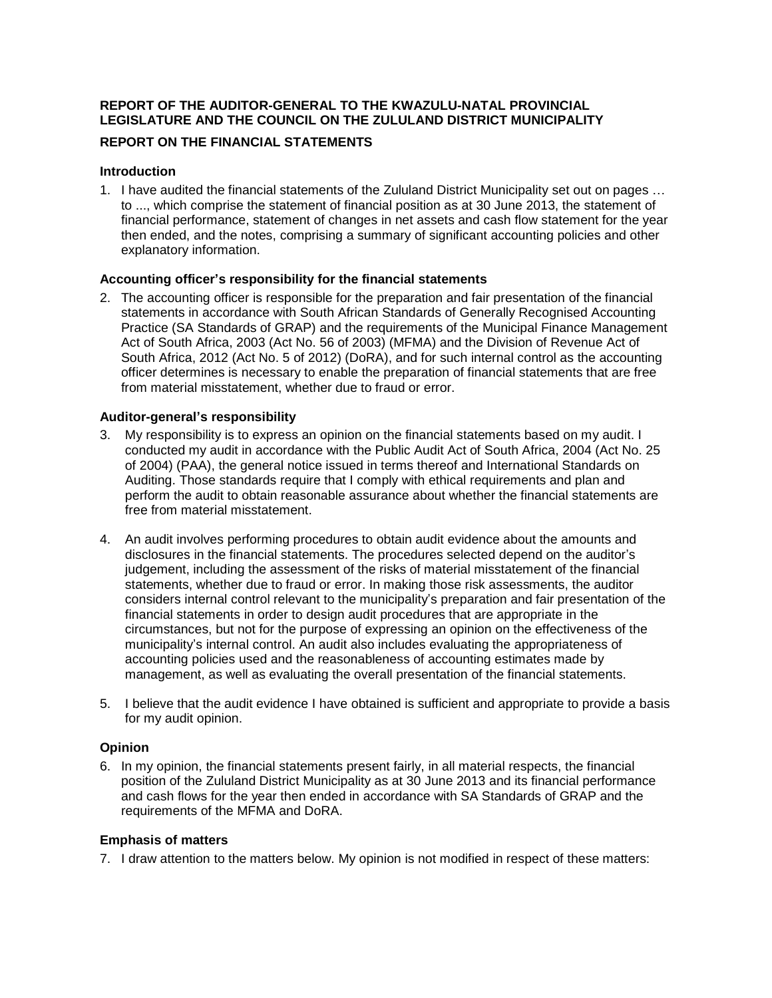# **REPORT OF THE AUDITOR-GENERAL TO THE KWAZULU-NATAL PROVINCIAL LEGISLATURE AND THE COUNCIL ON THE ZULULAND DISTRICT MUNICIPALITY**

# **REPORT ON THE FINANCIAL STATEMENTS**

# **Introduction**

1. I have audited the financial statements of the Zululand District Municipality set out on pages ... to ..., which comprise the statement of financial position as at 30 June 2013, the statement of financial performance, statement of changes in net assets and cash flow statement for the year then ended, and the notes, comprising a summary of significant accounting policies and other explanatory information.

# **Accounting officerí<sup>s</sup> responsibility for the financial statements**

2. The accounting officer is responsible for the preparation and fair presentation of the financial statements in accordance with South African Standards of Generally Recognised Accounting Practice (SA Standards of GRAP) and the requirements of the Municipal Finance Management Act of South Africa, 2003 (Act No. 56 of 2003) (MFMA) and the Division of Revenue Act of South Africa, 2012 (Act No. 5 of 2012) (DoRA), and for such internal control as the accounting officer determines is necessary to enable the preparation of financial statements that are free from material misstatement, whether due to fraud or error. **Auditor-generalí<sup>s</sup> responsibility**

- 3. My responsibility is to express an opinion on the financial statements based on my audit. I conducted my audit in accordance with the Public Audit Act of South Africa, 2004 (Act No. 25 of 2004) (PAA), the general notice issued in terms thereof and International Standards on Auditing. Those standards require that I comply with ethical requirements and plan and perform the audit to obtain reasonable assurance about whether the financial statements are free from material misstatement.
- 4. An audit involves performing procedures to obtain audit evidence about the amounts and disclosures in the financial statements. The procedures selected depend on the auditor's judgement, including the assessment of the risks of material misstatement of the financial statements, whether due to fraud or error. In making those risk assessments, the auditor judgement, including the assessment of the risks of material misstatement of the financial<br>statements, whether due to fraud or error. In making those risk assessments, the auditor<br>considers internal control relevant to the financial statements in order to design audit procedures that are appropriate in the circumstances, but not for the purpose of expressing an opinion on the effectiveness of the considers internal control relevant to the municipality's preparation and fair presentation of the financial statements in order to design audit procedures that are appropriate in the circumstances, but not for the purpose accounting policies used and the reasonableness of accounting estimates made by management, as well as evaluating the overall presentation of the financial statements.
- 5. I believe that the audit evidence I have obtained is sufficient and appropriate to provide a basis for my audit opinion.

# **Opinion**

6. In my opinion, the financial statements present fairly, in all material respects, the financial position of the Zululand District Municipality as at 30 June 2013 and its financial performance and cash flows for the year then ended in accordance with SA Standards of GRAP and the requirements of the MFMA and DoRA.

#### **Emphasis of matters**

7. I draw attention to the matters below. My opinion is not modified in respect of these matters: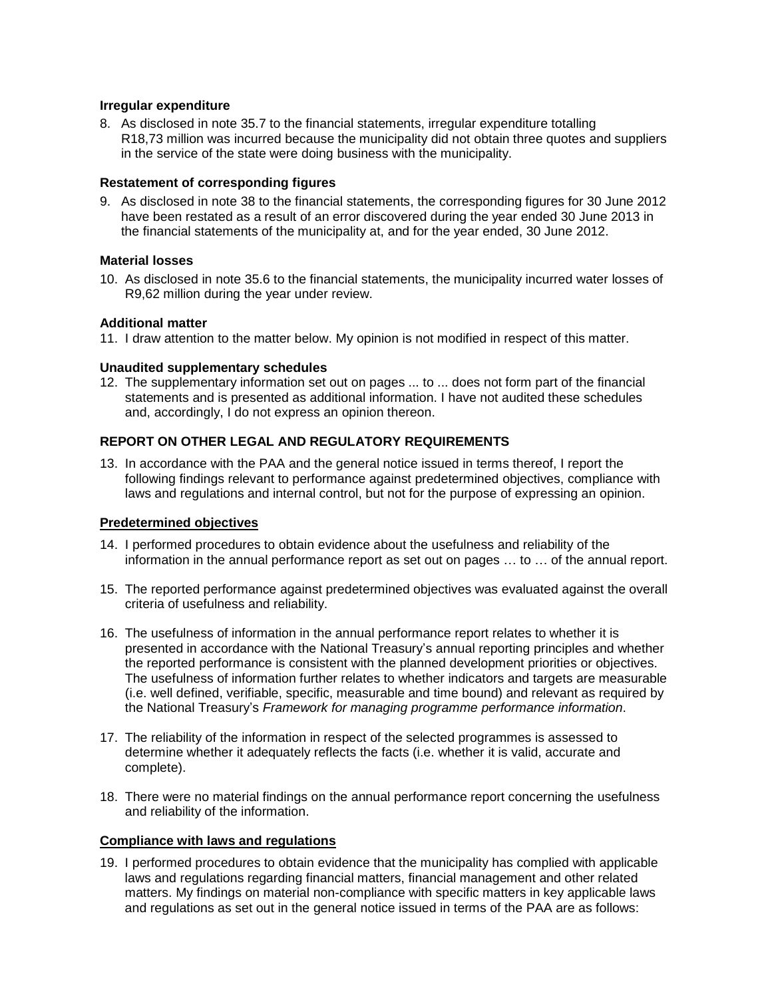#### **Irregular expenditure**

8. As disclosed in note 35.7 to the financial statements, irregular expenditure totalling R18,73 million was incurred because the municipality did not obtain three quotes and suppliers in the service of the state were doing business with the municipality.

# **Restatement of corresponding figures**

9. As disclosed in note 38 to the financial statements, the corresponding figures for 30 June 2012 have been restated as a result of an error discovered during the year ended 30 June 2013 in the financial statements of the municipality at, and for the year ended, 30 June 2012.

# **Material losses**

10. As disclosed in note 35.6 to the financial statements, the municipality incurred water losses of R9,62 million during the year under review.

# **Additional matter**

11. I draw attention to the matter below. My opinion is not modified in respect of this matter.

# **Unaudited supplementary schedules**

12. The supplementary information set out on pages ... to ... does notform part of the financial statements and is presented as additional information. I have not audited these schedules and, accordingly, I do not express an opinion thereon.

# **REPORT ON OTHER LEGAL AND REGULATORY REQUIREMENTS**

13. In accordance with the PAA and the general notice issued in terms thereof, I report the following findings relevant to performance against predetermined objectives, compliance with laws and regulations and internal control, but not for the purpose of expressing an opinion.

# **Predetermined objectives**

- 14. I performed procedures to obtain evidence about the usefulness and reliability of the information in the annual performance report as set out on pages  $\dots$  to  $\dots$  of the annual report.
- 15. The reported performance against predetermined objectives was evaluated against the overall criteria of usefulness and reliability.
- 16. The usefulness of information in the annual performance report relates to whether it is presented in accordance with the National Treasuryí<sup>s</sup> annual reporting principles and whether the reported performance is consistent with the planned development priorities or objectives. The usefulness of information further relates to whether indicators and targets are measurable (i.e. well defined, verifiable, specific, measurable and time bound) and relevant as required by The usefulness of information further relates to whether indicators and targets are measural (i.e. well defined, verifiable, specific, measurable and time bound) and relevant as required it the National Treasury's *Framewo*
- 17. The reliability of the information in respect of the selected programmes is assessed to determine whether it adequately reflects the facts (i.e. whether it is valid, accurate and complete).
- 18. There were no material findings on the annual performance report concerning the usefulness and reliability of the information.

#### **Compliance with laws and regulations**

19. I performed procedures to obtain evidence that the municipality has complied with applicable laws and regulations regarding financial matters, financial management and other related matters. My findings on material non-compliance with specific matters in key applicable laws and regulations as set out in the general notice issued in terms of the PAA are as follows: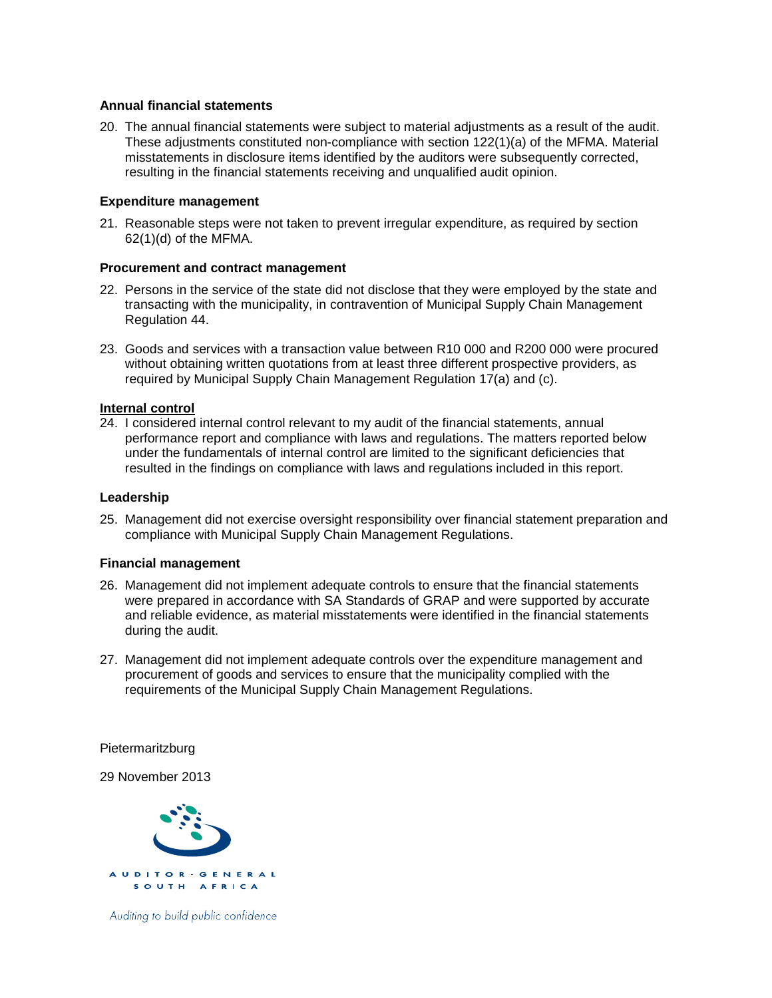# **Annual financial statements**

20. The annual financial statements were subject to material adjustments as a result of the audit. These adjustments constituted non-compliance with section 122(1)(a) of the MFMA. Material misstatements in disclosure items identified by the auditors were subsequently corrected, resulting in the financial statements receiving and unqualified audit opinion.

# **Expenditure management**

21. Reasonable steps were not taken to prevent irregular expenditure, as required by section 62(1)(d) of the MFMA.

# **Procurement and contract management**

- 22. Persons in the service of the state did not disclose that they were employed by the state and transacting with the municipality, in contravention of Municipal Supply Chain Management Regulation 44.
- 23. Goods and services with a transaction value between R10 000 and R200 000 were procured without obtaining written quotations from at least three different prospective providers, as required by Municipal Supply Chain Management Regulation 17(a) and (c).

# **Internal control**

24. I considered internal control relevant to my audit of the financial statements, annual performance report and compliance with laws and regulations. The matters reported below under the fundamentals of internal control are limited to the significant deficiencies that resulted in the findings on compliance with laws and regulations included in this report.

#### **Leadership**

25. Management did not exercise oversight responsibility over financial statement preparation and compliance with Municipal Supply Chain Management Regulations.

#### **Financial management**

- 26. Management did not implement adequate controls to ensure that the financial statements were prepared in accordance with SA Standards of GRAP and were supported by accurate and reliable evidence, as material misstatements were identified in the financial statements during the audit.
- 27. Management did not implement adequate controls over the expenditure management and procurement of goods and services to ensure that the municipality complied with the requirements of the Municipal Supply Chain Management Regulations.

Pietermaritzburg

29 November 2013



Auditing to build public confidence